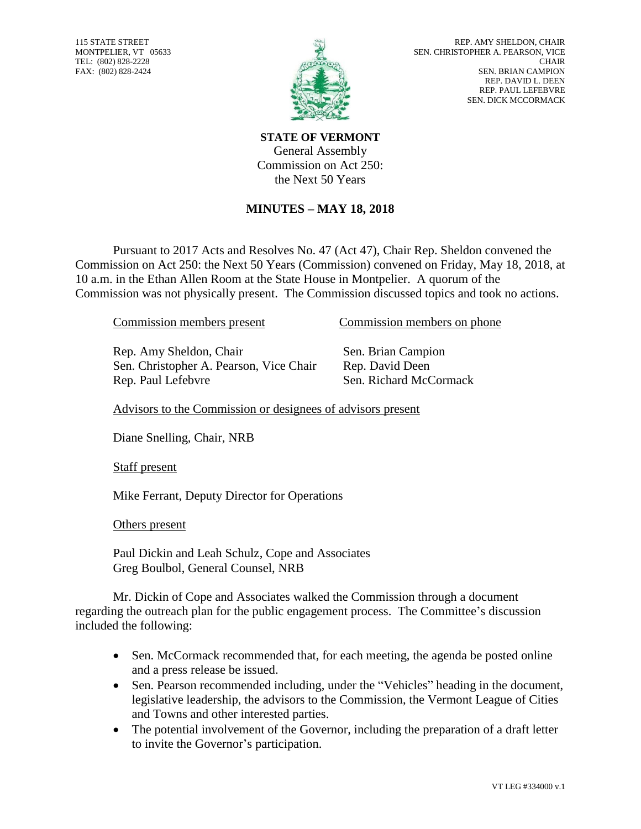115 STATE STREET MONTPELIER, VT 05633 TEL: (802) 828-2228 FAX: (802) 828-2424



**STATE OF VERMONT** General Assembly Commission on Act 250: the Next 50 Years

## **MINUTES – MAY 18, 2018**

Pursuant to 2017 Acts and Resolves No. 47 (Act 47), Chair Rep. Sheldon convened the Commission on Act 250: the Next 50 Years (Commission) convened on Friday, May 18, 2018, at 10 a.m. in the Ethan Allen Room at the State House in Montpelier. A quorum of the Commission was not physically present. The Commission discussed topics and took no actions.

Rep. Amy Sheldon, Chair Sen. Brian Campion Sen. Christopher A. Pearson, Vice Chair Rep. David Deen Rep. Paul Lefebvre Sen. Richard McCormack

Commission members present Commission members on phone

Advisors to the Commission or designees of advisors present

Diane Snelling, Chair, NRB

Staff present

Mike Ferrant, Deputy Director for Operations

Others present

Paul Dickin and Leah Schulz, Cope and Associates Greg Boulbol, General Counsel, NRB

Mr. Dickin of Cope and Associates walked the Commission through a document regarding the outreach plan for the public engagement process. The Committee's discussion included the following:

- Sen. McCormack recommended that, for each meeting, the agenda be posted online and a press release be issued.
- Sen. Pearson recommended including, under the "Vehicles" heading in the document, legislative leadership, the advisors to the Commission, the Vermont League of Cities and Towns and other interested parties.
- The potential involvement of the Governor, including the preparation of a draft letter to invite the Governor's participation.